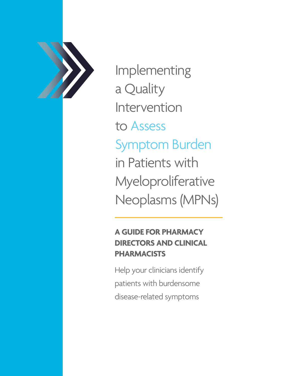

Implementing a Quality Intervention to Assess Symptom Burden in Patients with Myeloproliferative Neoplasms (MPNs)

# **A GUIDE FOR PHARMACY DIRECTORS AND CLINICAL PHARMACISTS**

Help your clinicians identify patients with burdensome disease-related symptoms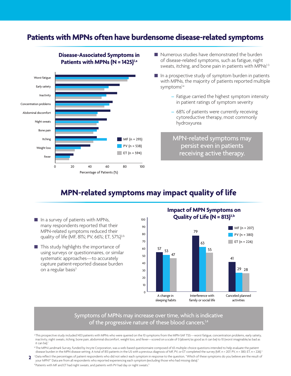### Patients with MPNs often have burdensome disease-related symptoms



**Disease-Associated Symptoms in**  Patients with MPNs (N = 1425)<sup>1,a</sup>

 $\blacksquare$  Numerous studies have demonstrated the burden of disease-related symptoms, such as fatigue, night sweats, itching, and bone pain in patients with MPNs<sup>1-3</sup>

- $\blacksquare$  In a prospective study of symptom burden in patients with MPNs, the majority of patients reported multiple symptoms<sup>1,a</sup>
	- Fatigue carried the highest symptom intensity in patient ratings of symptom severity
	- 68% of patients were currently receiving cytoreductive therapy, most commonly hydroxyurea

MPN-related symptoms may and express them bersist even in patients. MPN-related s persist even in patients receiving active therapy.

### **MPN-related symptoms may impact quality of life**

- $\blacksquare$  In a survey of patients with MPNs, many respondents reported that their MPN-related symptoms reduced their quality of life (MF, 81%; PV, 66%; ET, 57%)<sup>3,b</sup>
- $\blacksquare$  This study highlights the importance of using surveys or questionnaires, or similar systematic approaches—to accurately capture patient-reported disease burden on a regular basis<sup>3</sup>





#### Symptoms of MPNs may increase over time, which is indicative of the progressive nature of these blood cancers.<sup>1,4</sup>

a This prospective study included 1433 patients with MPNs who were queried on the 10 symptoms from the MPN-SAF TSS—worst fatigue, concentration problems, early satiety, inactivity, night sweats, itching, bone pain, abdominal discomfort, weight loss, and fever—scored on a scale of 0 (absent/as good as it can be) to 10 (worst imaginable/as bad as it can be).

**bThe MPN Landmark Survey, funded by Incyte Corporation, was a web-based questionnaire composed of 65 multiple-choice questions intended to help evaluate the patient** disease burden in the MPN disease setting. A total of 813 patients in the US with a previous diagnosis of MF, PV, or ET completed the survey (MF, n = 207; PV, n = 380; ET, n = 226).<sup>3</sup>

Pata reflect the percentages of patient respondents who did not select each symptom in response to the question, "Which of these symptoms do you believe are the result of path in the symptoms do you believe are the result your MPN?" Data are from all respondents who reported experiencing each symptom (excluding those who had missing data).5 d Patients with MF and ET had night sweats, and patients with PV had day or night sweats.<sup>5</sup>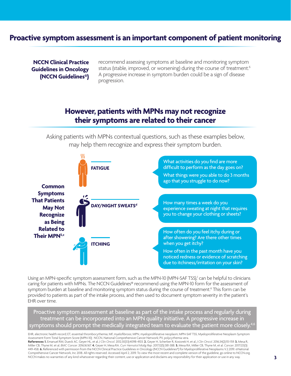### **Proactive symptom assessment is an important component of patient monitoring**

**NCCN Clinical Practice Guidelines in Oncology (NCCN Guidelines®)**  recommend assessing symptoms at baseline and monitoring symptom status (stable, improved, or worsening) during the course of treatment.<sup>6</sup> A progressive increase in symptom burden could be a sign of disease progression.

### **However, patients with MPNs may not recognize their symptoms are related to their cancer**

Asking patients with MPNs contextual questions, such as these examples below, may help them recognize and express their symptom burden.



Using an MPN-specific symptom assessment form, such as the MPN-10 (MPN-SAF TSS),<sup>1</sup> can be helpful to clinicians caring for patients with MPNs. The NCCN Guidelines® recommend using the MPN-10 form for the assessment of symptom burden at baseline and monitoring symptom status during the course of treatment.<sup>6</sup> This form can be provided to patients as part of the intake process, and then used to document symptom severity in the patient's EHR over time.

Proactive symptom assessment at baseline as part of the intake process and regularly during treatment can be incorporated into an MPN quality initiative. A progressive increase in symptoms should prompt the medically integrated team to evaluate the patient more closely

EHR, electronic health record; ET, essential thrombocythemia; MF, myelofibrosis; MPN, myeloproliferative neoplasm; MPN-SAF TSS, Myeloproliferative Neoplasm Symptom Assessment Form Total Symptom Score (MPN-10); NCCN, National Comprehensive Cancer Network; PV, polycythemia vera. **References: 1.** Emanuel RM, Dueck AC, Geyer HL, et al. *J Clin Oncol.* 2012;30(33):4098-4103. **2.** Geyer H, Scherber R, Kosiorek H, et al. *J Clin Oncol*. 2016;34(2):151-159. **3.** Mesa R, Miller CB, Thyne M, et al. *BMC Cancer.* 2016;16:167. **4.** Geyer H, Mesa RA. *Curr Hematol Malig Rep*. 2017;12(5):381-388. **5.** Mesa RA, Miller CB, Thyne M, et al. *Cancer*. 2017;123(3): 449-458. **6.** Referenced with permission from the NCCN Clinical Practice Guidelines in Oncology (NCCN Guidelines®) for Myeloproliferative Neoplasms V.2.2019. ©National Comprehensive Cancer Network, Inc 2018. All rights reserved. Accessed April 2, 2019. To view the most recent and complete version of the guideline, go online to NCCN.org. NCCN makes no warranties of any kind whatsoever regarding their content, use or application and disclaims any responsibility for their application or use in any way.